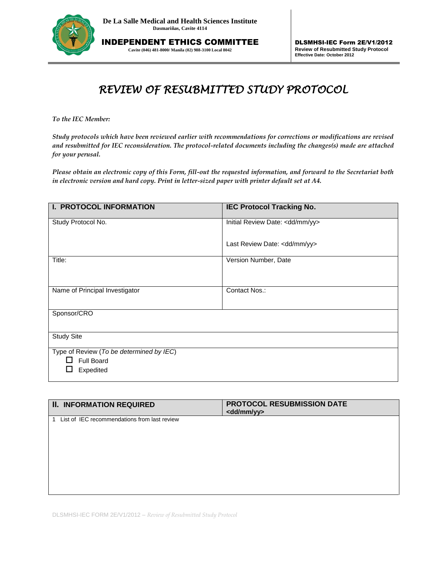

INDEPENDENT ETHICS COMMITTEE **Cavite (046) 481-8000/ Manila (02) 988-3100 Local 8042**

## *REVIEW OF RESUBMITTED STUDY PROTOCOL*

*To the IEC Member:* 

*Study protocols which have been reviewed earlier with recommendations for corrections or modifications are revised and resubmitted for IEC reconsideration. The protocol-related documents including the changes(s) made are attached for your perusal.*

*Please obtain an electronic copy of this Form, fill-out the requested information, and forward to the Secretariat both in electronic version and hard copy. Print in letter-sized paper with printer default set at A4.*

| I. PROTOCOL INFORMATION                                       | <b>IEC Protocol Tracking No.</b> |
|---------------------------------------------------------------|----------------------------------|
| Study Protocol No.                                            | Initial Review Date: < dd/mm/yy> |
|                                                               | Last Review Date: < dd/mm/yy>    |
| Title:                                                        | Version Number, Date             |
| Name of Principal Investigator                                | Contact Nos.:                    |
| Sponsor/CRO                                                   |                                  |
| <b>Study Site</b>                                             |                                  |
| Type of Review (To be determined by IEC)<br><b>Full Board</b> |                                  |
| Expedited                                                     |                                  |

| <b>II. INFORMATION REQUIRED</b>                   | PROTOCOL RESUBMISSION DATE<br><dd mm="" yy=""></dd> |
|---------------------------------------------------|-----------------------------------------------------|
| List of IEC recommendations from last review<br>1 |                                                     |
|                                                   |                                                     |
|                                                   |                                                     |
|                                                   |                                                     |
|                                                   |                                                     |

DLSMHSI-IEC FORM 2E/V1/2012 – *Review of Resubmitted Study Protocol*